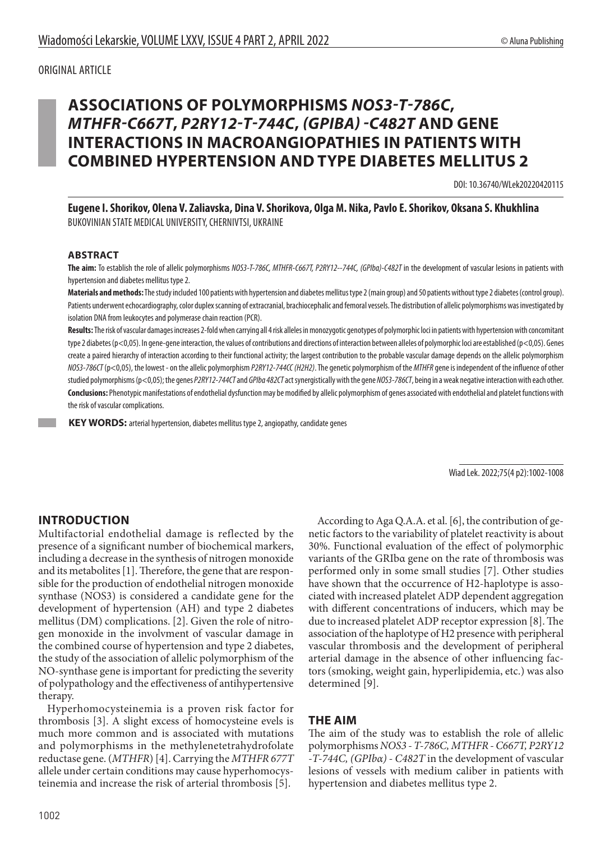### ORIGINAL ARTICLE

# **ASSOCIATIONS OF POLYMORPHISMS** *NOS3-T-786C***,**  *MTHFR-C667T***,** *P2RY12-T-744C***,** *(GPIBΑ) -C482T* **AND GENE INTERACTIONS IN MACROANGIOPATHIES IN PATIENTS WITH COMBINED HYPERTENSION AND TYPE DIABETES MELLITUS 2**

DOI: 10.36740/WLek20220420115

**Eugene I. Shorikov, Olena V. Zaliavska, Dina V. Shorikova, Olga M. Nika, Pavlo E. Shorikov, Oksana S. Khukhlina** BUKOVINIAN STATE MEDICAL UNIVERSITY, CHERNIVTSI, UKRAINE

#### **ABSTRACT**

The aim: To establish the role of allelic polymorphisms *NOS3-T-786C, MTHFR-C667T, P2RY12--744C, (GPIba)-C482T* in the development of vascular lesions in patients with hypertension and diabetes mellitus type 2.

**Materials and methods:** The study included 100 patients with hypertension and diabetes mellitus type 2 (main group) and 50 patients without type 2 diabetes (control group). Patients underwent echocardiography, color duplex scanning of extracranial, brachiocephalic and femoral vessels. The distribution of allelic polymorphisms was investigated by isolation DNA from leukocytes and polymerase chain reaction (PCR).

**Results:** The risk of vascular damages increases 2-fold when carrying all 4 risk alleles in monozygotic genotypes of polymorphic loci in patients with hypertension with concomitant type 2 diabetes (p<0,05). In gene-gene interaction, the values of contributions and directions of interaction between alleles of polymorphic loci are established (p<0,05). Genes create a paired hierarchy of interaction according to their functional activity; the largest contribution to the probable vascular damage depends on the allelic polymorphism *NOS3-786CT* (p<0,05), the lowest - on the allelic polymorphism *P2RY12-744CC (H2H2)*. The genetic polymorphism of the *MTHFR* gene is independent of the influence of other studied polymorphisms (p<0,05); the genes *P2RY12-744CT* and *GPIbα 482CT* act synergistically with the gene *NOS3-786CT*, being in a weak negative interaction with each other. **Conclusions:** Phenotypic manifestations of endothelial dysfunction may be modified by allelic polymorphism of genes associated with endothelial and platelet functions with the risk of vascular complications.

 **KEY WORDS:** arterial hypertension, diabetes mellitus type 2, angiopathy, candidate genes

Wiad Lek. 2022;75(4 p2):1002-1008

## **INTRODUCTION**

Multifactorial endothelial damage is reflected by the presence of a significant number of biochemical markers, including a decrease in the synthesis of nitrogen monoxide and its metabolites [1]. Therefore, the gene that are responsible for the production of endothelial nitrogen monoxide synthase (NOS3) is considered a candidate gene for the development of hypertension (AH) and type 2 diabetes mellitus (DM) complications. [2]. Given the role of nitrogen monoxide in the involvment of vascular damage in the combined course of hypertension and type 2 diabetes, the study of the association of allelic polymorphism of the NO-synthase gene is important for predicting the severity of polypathology and the effectiveness of antihypertensive therapy.

Hyperhomocysteinemia is a proven risk factor for thrombosis [3]. A slight excess of homocysteine evels is much more common and is associated with mutations and polymorphisms in the methylenetetrahydrofolate reductase gene. (*MTHFR*) [4]. Carrying the *MTHFR 677T* allele under certain conditions may cause hyperhomocysteinemia and increase the risk of arterial thrombosis [5].

According to Aga Q.A.A. et al. [6], the contribution of genetic factors to the variability of platelet reactivity is about 30%. Functional evaluation of the effect of polymorphic variants of the GRIbα gene on the rate of thrombosis was performed only in some small studies [7]. Other studies have shown that the occurrence of H2-haplotype is associated with increased platelet ADP dependent aggregation with different concentrations of inducers, which may be due to increased platelet ADP receptor expression [8]. The association of the haplotype of H2 presence with peripheral vascular thrombosis and the development of peripheral arterial damage in the absence of other influencing factors (smoking, weight gain, hyperlipidemia, etc.) was also determined [9].

## **THE AIM**

The aim of the study was to establish the role of allelic polymorphisms *NOS3 - T-786C, MTHFR - C667T, P2RY12 -T-744C, (GPIbα) - C482T* in the development of vascular lesions of vessels with medium caliber in patients with hypertension and diabetes mellitus type 2.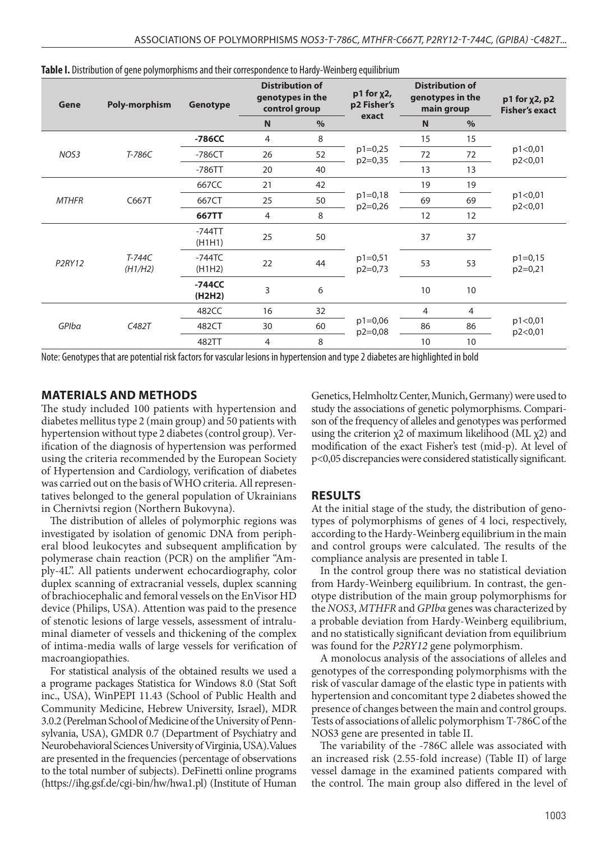| Gene                            | <b>Poly-morphism</b> | Genotype            | <b>Distribution of</b><br>genotypes in the<br>control group |      | $p1$ for $x2$ ,<br>p2 Fisher's | <b>Distribution of</b><br>genotypes in the<br>main group |      | $p1$ for $\chi$ 2, $p2$<br><b>Fisher's exact</b> |
|---------------------------------|----------------------|---------------------|-------------------------------------------------------------|------|--------------------------------|----------------------------------------------------------|------|--------------------------------------------------|
|                                 |                      |                     | N                                                           | $\%$ | exact                          | N                                                        | $\%$ |                                                  |
|                                 |                      | $-786CC$            | 4                                                           | 8    | $p1=0,25$<br>$p2=0,35$         | 15                                                       | 15   | p1 < 0.01<br>p2<0,01                             |
| NOS3                            | T-786C               | $-786CT$            | 26                                                          | 52   |                                | 72                                                       | 72   |                                                  |
|                                 |                      | $-786TT$            | 20                                                          | 40   |                                | 13                                                       | 13   |                                                  |
|                                 | C667T                | 667CC               | 21                                                          | 42   | $p1=0,18$<br>$p2=0,26$         | 19                                                       | 19   | p1<0,01<br>p2<0,01                               |
| <b>MTHFR</b>                    |                      | 667CT               | 25                                                          | 50   |                                | 69                                                       | 69   |                                                  |
|                                 |                      | 667TT               | $\overline{4}$                                              | 8    |                                | 12                                                       | 12   |                                                  |
| P <sub>2</sub> RY <sub>12</sub> |                      | $-744$ TT<br>(H1H1) | 25                                                          | 50   |                                | 37                                                       | 37   | $p1=0,15$<br>$p2=0,21$                           |
|                                 | T-744C<br>(H1/H2)    | $-744$ TC<br>(H1H2) | 22                                                          | 44   | $p1=0,51$<br>$p2=0,73$         | 53                                                       | 53   |                                                  |
|                                 |                      | $-744CC$<br>(H2H2)  | 3                                                           | 6    |                                | 10                                                       | 10   |                                                  |
| GPIba                           | C482T                | 482CC               | 16                                                          | 32   |                                | 4                                                        | 4    |                                                  |
|                                 |                      | 482CT               | 30                                                          | 60   | $p1=0,06$<br>$p2=0,08$         | 86                                                       | 86   | p1 < 0,01<br>p2<0,01                             |
|                                 |                      | 482TT               | $\overline{4}$                                              | 8    |                                | 10                                                       | 10   |                                                  |

| Table I. Distribution of gene polymorphisms and their correspondence to Hardy-Weinberg equilibrium |  |  |
|----------------------------------------------------------------------------------------------------|--|--|
|----------------------------------------------------------------------------------------------------|--|--|

Note: Genotypes that are potential risk factors for vascular lesions in hypertension and type 2 diabetes are highlighted in bold

#### **MATERIALS AND METHODS**

The study included 100 patients with hypertension and diabetes mellitus type 2 (main group) and 50 patients with hypertension without type 2 diabetes (control group). Verification of the diagnosis of hypertension was performed using the criteria recommended by the European Society of Hypertension and Cardiology, verification of diabetes was carried out on the basis of WHO criteria. All representatives belonged to the general population of Ukrainians in Chernivtsi region (Northern Bukovyna).

The distribution of alleles of polymorphic regions was investigated by isolation of genomic DNA from peripheral blood leukocytes and subsequent amplification by polymerase chain reaction (PCR) on the amplifier "Amply-4L". All patients underwent echocardiography, color duplex scanning of extracranial vessels, duplex scanning of brachiocephalic and femoral vessels on the EnVisor HD device (Philips, USA). Attention was paid to the presence of stenotic lesions of large vessels, assessment of intraluminal diameter of vessels and thickening of the complex of intima-media walls of large vessels for verification of macroangiopathies.

For statistical analysis of the obtained results we used a a programe packages Statistica for Windows 8.0 (Stat Soft inc., USA), WinPEPI 11.43 (School of Public Health and Community Medicine, Hebrew University, Israel), MDR 3.0.2 (Perelman School of Medicine of the University of Pennsylvania, USA), GMDR 0.7 (Department of Psychiatry and Neurobehavioral Sciences University of Virginia, USA).Values are presented in the frequencies (percentage of observations to the total number of subjects). DeFinetti online programs (https://ihg.gsf.de/cgi-bin/hw/hwa1.pl) (Institute of Human

Genetics, Helmholtz Center, Munich, Germany) were used to study the associations of genetic polymorphisms. Comparison of the frequency of alleles and genotypes was performed using the criterion  $\chi$ 2 of maximum likelihood (ML  $\chi$ 2) and modification of the exact Fisher's test (mid-p). At level of p<0,05 discrepancies were considered statistically significant.

#### **RESULTS**

At the initial stage of the study, the distribution of genotypes of polymorphisms of genes of 4 loci, respectively, according to the Hardy-Weinberg equilibrium in the main and control groups were calculated. The results of the compliance analysis are presented in table I.

In the control group there was no statistical deviation from Hardy-Weinberg equilibrium. In contrast, the genotype distribution of the main group polymorphisms for the *NOS3*, *MTHFR* and *GPIbα* genes was characterized by a probable deviation from Hardy-Weinberg equilibrium, and no statistically significant deviation from equilibrium was found for the *P2RY12* gene polymorphism.

A monolocus analysis of the associations of alleles and genotypes of the corresponding polymorphisms with the risk of vascular damage of the elastic type in patients with hypertension and concomitant type 2 diabetes showed the presence of changes between the main and control groups. Tests of associations of allelic polymorphism T-786C of the NOS3 gene are presented in table II.

The variability of the -786C allele was associated with an increased risk (2.55-fold increase) (Table II) of large vessel damage in the examined patients compared with the control. The main group also differed in the level of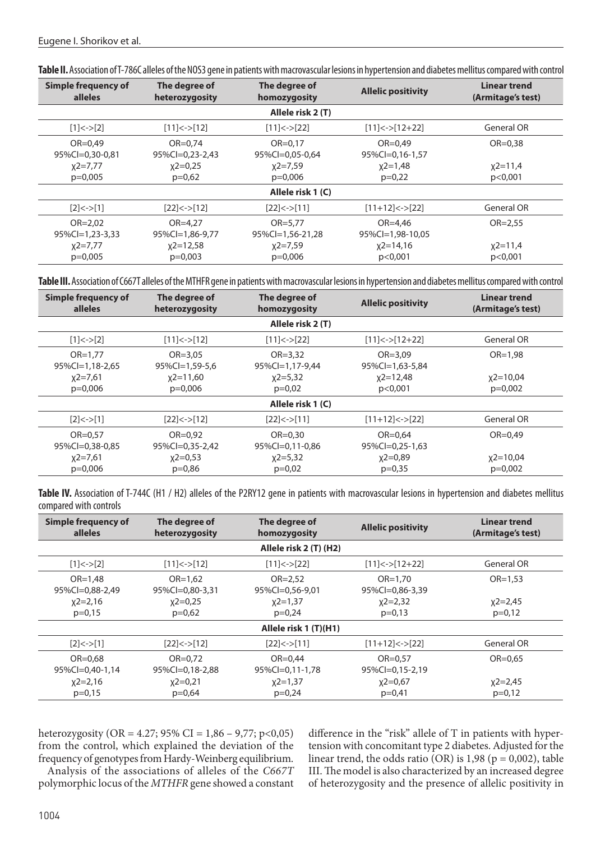| <b>Simple frequency of</b><br>The degree of<br>alleles<br>heterozygosity  |                                | The degree of<br>homozygosity       | <b>Allelic positivity</b>       | Linear trend<br>(Armitage's test) |  |  |  |
|---------------------------------------------------------------------------|--------------------------------|-------------------------------------|---------------------------------|-----------------------------------|--|--|--|
|                                                                           |                                | Allele risk 2 (T)                   |                                 |                                   |  |  |  |
| $[1]<-$ [2]                                                               | $[11]< [12]$                   | $[11]<-$ [22]                       | $[11] < -$ [12+22]              | General OR                        |  |  |  |
| $OR = 0.49$<br>95%Cl=0,30-0,81                                            | $OR = 0.74$<br>95%Cl=0,23-2,43 | $OR = 0.17$<br>95%Cl=0,05-0,64      | $OR = 0.49$<br>95%Cl=0,16-1,57  | $OR = 0.38$                       |  |  |  |
| $x2=0.25$<br>$x2=7.77$<br>$x2=7.59$<br>$p=0,005$<br>$p=0,62$<br>$p=0,006$ |                                | $x2=1,48$<br>$p=0.22$               | $x^2 = 11,4$<br>p < 0.001       |                                   |  |  |  |
| Allele risk 1 (C)                                                         |                                |                                     |                                 |                                   |  |  |  |
| [2] < > [1]                                                               | $[22]<->[12]$                  | $[22]<->[11]$                       | $[11+12] \leftarrow [22]$       | General OR                        |  |  |  |
| $OR = 2,02$<br>$95\%$ Cl=1,23-3,33                                        | $OR = 4.27$<br>95%Cl=1,86-9,77 | $OR = 5,77$<br>$95\%$ Cl=1,56-21,28 | $OR = 4.46$<br>95%Cl=1,98-10,05 | $OR = 2.55$                       |  |  |  |
| $x^2=7,77$<br>$p=0,005$                                                   | $x^2=12,58$<br>$p=0,003$       | $x2=7,59$<br>$p=0,006$              | $x2 = 14,16$<br>p<0,001         | $x^2 = 11,4$<br>p<0,001           |  |  |  |

**Table II.** Association of T-786C alleles of the NOS3 gene in patients with macrovascular lesions in hypertension and diabetes mellitus compared with control

**Table III.** Association of C667T alleles of the MTHFR gene in patients with macrovascular lesions in hypertension and diabetes mellitus compared with control

| Simple frequency of<br>alleles     | The degree of<br>heterozygosity | The degree of<br>homozygosity  | <b>Allelic positivity</b>      | <b>Linear trend</b><br>(Armitage's test) |  |  |  |
|------------------------------------|---------------------------------|--------------------------------|--------------------------------|------------------------------------------|--|--|--|
|                                    |                                 | Allele risk 2 (T)              |                                |                                          |  |  |  |
| $[1]<-2$                           | $[11]<-$ [12]                   | $[11]<-22$                     | $[11] < -$ [12+22]             | <b>General OR</b>                        |  |  |  |
| $OR = 1.77$<br>$95\%$ Cl=1,18-2,65 | $OR = 3.05$<br>95%Cl=1,59-5,6   | $OR = 3.32$<br>95%Cl=1,17-9,44 | $OR = 3.09$<br>95%Cl=1,63-5,84 | $OR = 1.98$                              |  |  |  |
| $x2=7,61$                          | $x2 = 11,60$                    | $x^2=5,32$                     | $x2 = 12,48$                   | $x2 = 10,04$                             |  |  |  |
| $p=0,006$                          | $p=0,006$                       | $p=0,02$                       | p < 0.001                      | $p=0,002$                                |  |  |  |
| Allele risk 1 (C)                  |                                 |                                |                                |                                          |  |  |  |
| [2] < > [1]                        | $[22]<->[12]$                   | [22] < > [11]                  | $[11+12]$ <-> $[22]$           | General OR                               |  |  |  |
| $OR = 0.57$                        | $OR = 0.92$                     | $OR = 0.30$                    | $OR = 0.64$                    | $OR = 0.49$                              |  |  |  |
| 95%Cl=0,38-0,85                    | 95%Cl=0,35-2,42                 | 95%Cl=0,11-0,86                | 95%Cl=0,25-1,63                |                                          |  |  |  |
| $x^2=7,61$                         | $x2=0,53$                       | $x^2=5,32$                     | $x2=0.89$                      | $x2 = 10,04$                             |  |  |  |
| $p=0,006$                          | $p=0,86$                        | $p=0.02$                       | $p=0.35$                       | $p=0,002$                                |  |  |  |

Table IV. Association of T-744C (H1 / H2) alleles of the P2RY12 gene in patients with macrovascular lesions in hypertension and diabetes mellitus compared with controls

| Simple frequency of<br><b>alleles</b>  | The degree of<br>heterozygosity | The degree of<br>homozygosity  | <b>Allelic positivity</b>      | Linear trend<br>(Armitage's test) |  |  |  |
|----------------------------------------|---------------------------------|--------------------------------|--------------------------------|-----------------------------------|--|--|--|
|                                        |                                 | Allele risk 2 (T) (H2)         |                                |                                   |  |  |  |
| $[1]<-$ [2]                            | $[11]<-$ [12]                   | $[11]<-22$                     | $[11] < -$ [12+22]             | <b>General OR</b>                 |  |  |  |
| $OR = 1.48$<br>95%Cl=0,88-2,49         | $OR = 1.62$<br>95%Cl=0,80-3,31  | $OR = 2.52$<br>95%Cl=0,56-9,01 | $OR = 1.70$<br>95%Cl=0,86-3,39 | $OR = 1.53$                       |  |  |  |
| $x^2 = 2,16$<br>$x2=0.25$<br>$x2=1,37$ |                                 | $x^2=2,32$                     | $x^2=2,45$                     |                                   |  |  |  |
| $p=0,15$                               | $p=0,62$                        | $p=0,24$                       | $p=0,13$                       | $p=0,12$                          |  |  |  |
| Allele risk 1 (T)(H1)                  |                                 |                                |                                |                                   |  |  |  |
| [2] < > [1]                            | $[22]<->[12]$                   | $[22]<->[11]$                  | $[11+12] < >[22]$              | <b>General OR</b>                 |  |  |  |
| $OR = 0.68$<br>95%Cl=0,40-1,14         | $OR = 0.72$<br>95%Cl=0,18-2,88  | $OR = 0.44$<br>95%Cl=0,11-1,78 | $OR = 0.57$<br>95%Cl=0,15-2,19 | $OR = 0.65$                       |  |  |  |
| $x^2=2,16$                             | $x^2=0,21$                      | $x^2=1,37$                     | $x2=0,67$                      | $x^2 = 2,45$                      |  |  |  |
| $p=0,15$                               | $p=0,64$                        | $p=0,24$                       | $p=0,41$                       | $p=0,12$                          |  |  |  |

heterozygosity (OR = 4.27; 95% CI = 1,86 – 9,77; p<0,05) from the control, which explained the deviation of the frequency of genotypes from Hardy-Weinberg equilibrium.

Analysis of the associations of alleles of the *C667T* polymorphic locus of the *MTHFR* gene showed a constant difference in the "risk" allele of T in patients with hypertension with concomitant type 2 diabetes. Adjusted for the linear trend, the odds ratio (OR) is 1,98 ( $p = 0.002$ ), table III. The model is also characterized by an increased degree of heterozygosity and the presence of allelic positivity in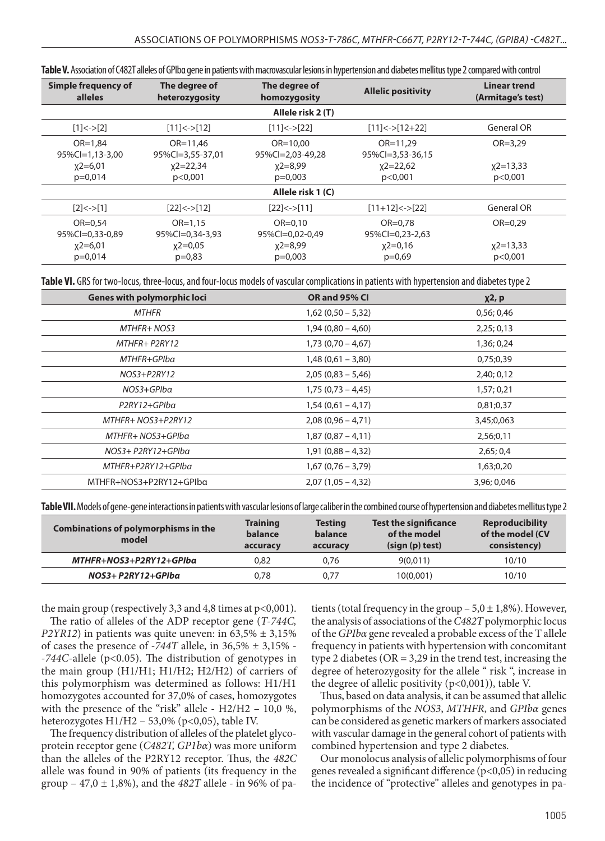| Simple frequency of<br>alleles                                                | The degree of<br>heterozygosity  | The degree of<br>homozygosity    | <b>Allelic positivity</b>        | Linear trend<br>(Armitage's test) |  |  |  |
|-------------------------------------------------------------------------------|----------------------------------|----------------------------------|----------------------------------|-----------------------------------|--|--|--|
|                                                                               |                                  | Allele risk 2 (T)                |                                  |                                   |  |  |  |
| [1] < >[2]                                                                    | $[11]< [12]$                     | $[11]<-$ [22]                    | $[11]<->[12+22]$                 | <b>General OR</b>                 |  |  |  |
| $OR = 1.84$<br>95%Cl=1,13-3,00                                                | $OR = 11.46$<br>95%Cl=3,55-37,01 | $OR = 10.00$<br>95%Cl=2,03-49,28 | $OR = 11,29$<br>95%Cl=3,53-36,15 | $OR = 3.29$                       |  |  |  |
| $x2=6,01$<br>$x^2 = 22,34$<br>$x^2=8,99$<br>$p=0.014$<br>p<0,001<br>$p=0,003$ |                                  | $x^2 = 22,62$<br>p<0,001         | $x^2=13,33$<br>p<0,001           |                                   |  |  |  |
| Allele risk 1 (C)                                                             |                                  |                                  |                                  |                                   |  |  |  |
| [2] < > [1]                                                                   | $[22]<-$ [12]                    | [22] < > [11]                    | $[11+12] \leftarrow [22]$        | <b>General OR</b>                 |  |  |  |
| $OR = 0.54$<br>95%Cl=0,33-0,89                                                | $OR = 1.15$<br>95%Cl=0,34-3,93   | $OR = 0.10$<br>95%Cl=0,02-0,49   | $OR = 0.78$<br>95%Cl=0,23-2,63   | $OR = 0.29$                       |  |  |  |
| $x^{2=6,01}$<br>$p=0,014$                                                     | $x2=0.05$<br>$p=0.83$            | $x^2=8,99$<br>$p=0,003$          | $x^2=0,16$<br>$p=0,69$           | $x^2=13,33$<br>p<0,001            |  |  |  |

**Table VI.** GRS for two-locus, three-locus, and four-locus models of vascular complications in patients with hypertension and diabetes type 2

| <b>Genes with polymorphic loci</b> | OR and 95% CI       | $x^2$ , p   |
|------------------------------------|---------------------|-------------|
| <b>MTHFR</b>                       | $1,62(0,50 - 5,32)$ | 0,56;0,46   |
| MTHFR+ NOS3                        | $1,94(0,80 - 4,60)$ | 2,25;0,13   |
| MTHFR+ P2RY12                      | $1,73(0,70-4,67)$   | 1,36; 0,24  |
| MTHFR+GPIba                        | $1,48(0,61 - 3,80)$ | 0,75;0,39   |
| NOS3+P2RY12                        | $2,05(0,83 - 5,46)$ | 2,40; 0,12  |
| NOS3+GPIba                         | $1,75(0,73-4,45)$   | 1,57; 0,21  |
| P2RY12+GPIba                       | $1,54(0,61 - 4,17)$ | 0,81;0,37   |
| MTHFR+ NOS3+P2RY12                 | $2,08(0,96 - 4,71)$ | 3,45;0,063  |
| MTHFR+ NOS3+GPIba                  | $1,87(0,87-4,11)$   | 2,56;0,11   |
| NOS3+ P2RY12+GPIba                 | $1,91(0,88 - 4,32)$ | 2,65;0,4    |
| MTHFR+P2RY12+GPIba                 | $1,67(0,76-3,79)$   | 1,63;0,20   |
| MTHFR+NOS3+P2RY12+GPIba            | $2,07(1,05 - 4,32)$ | 3,96; 0,046 |

**Table VII.** Models of gene-gene interactions in patients with vascular lesions of large caliber in the combined course of hypertension and diabetes mellitus type 2

| Combinations of polymorphisms in the<br>model | <b>Training</b><br>balance<br>accuracy | <b>Testing</b><br>balance<br>accuracy | <b>Test the significance</b><br>of the model<br>(sign (p) test) | <b>Reproducibility</b><br>of the model (CV<br>consistency) |
|-----------------------------------------------|----------------------------------------|---------------------------------------|-----------------------------------------------------------------|------------------------------------------------------------|
| MTHFR+NOS3+P2RY12+GPIba                       | 0.82                                   | 0.76                                  | 9(0.011)                                                        | 10/10                                                      |
| NOS3+ P2RY12+GPIba                            | 0.78                                   | 0.77                                  | 10(0,001)                                                       | 10/10                                                      |

the main group (respectively 3,3 and 4,8 times at p<0,001).

The ratio of alleles of the ADP receptor gene (*T-744C, P2YR12*) in patients was quite uneven: in  $63,5\% \pm 3,15\%$ of cases the presence of *-744T* allele, in 36,5% ± 3,15% - *-744C*-allele (p<0.05). The distribution of genotypes in the main group (H1/H1; H1/H2; H2/H2) of carriers of this polymorphism was determined as follows: H1/H1 homozygotes accounted for 37,0% of cases, homozygotes with the presence of the "risk" allele - H2/H2 – 10,0 %, heterozygotes H1/H2 – 53,0% (p<0,05), table IV.

The frequency distribution of alleles of the platelet glycoprotein receptor gene (*C482T, GP1bα*) was more uniform than the alleles of the P2RY12 receptor. Thus, the *482C* allele was found in 90% of patients (its frequency in the group – 47,0 ± 1,8%), and the *482T* allele - in 96% of patients (total frequency in the group  $-5.0 \pm 1.8$ %). However, the analysis of associations of the *C482T* polymorphic locus of the *GPIbα* gene revealed a probable excess of the T allele frequency in patients with hypertension with concomitant type 2 diabetes ( $OR = 3,29$  in the trend test, increasing the degree of heterozygosity for the allele " risk ", increase in the degree of allelic positivity (p<0,001)), table V.

Thus, based on data analysis, it can be assumed that allelic polymorphisms of the *NOS3*, *MTHFR*, and *GPIbα* genes can be considered as genetic markers of markers associated with vascular damage in the general cohort of patients with combined hypertension and type 2 diabetes.

Our monolocus analysis of allelic polymorphisms of four genes revealed a significant difference (p<0,05) in reducing the incidence of "protective" alleles and genotypes in pa-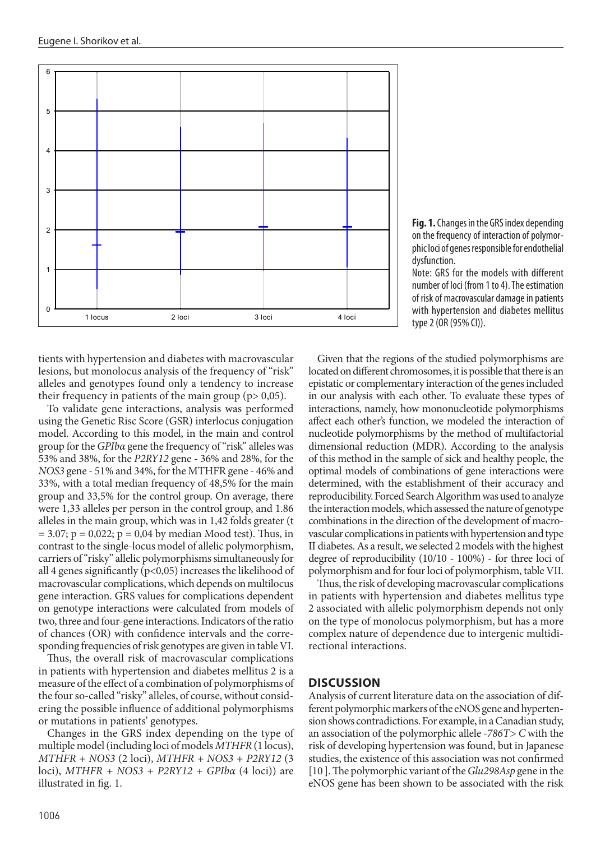

**Fig. 1.** Changes in the GRS index depending on the frequency of interaction of polymorphic loci of genes responsible for endothelial dysfunction.

Note: GRS for the models with different number of loci (from 1 to 4). The estimation of risk of macrovascular damage in patients with hypertension and diabetes mellitus type 2 (OR (95% CI)).

tients with hypertension and diabetes with macrovascular lesions, but monolocus analysis of the frequency of "risk" alleles and genotypes found only a tendency to increase epistatic or complementary interaction of the gen their frequency in patients of the main group ( $p > 0.05$ ).

using the Genetic Risc Score (GSR) interlocus conjugation model. According to this model, in the main and control group for the *GPIbα* gene the frequency of "risk" alleles was 53% and 38%, for the *P2RY12* gene - 36% and 28%, for the *NOS3* gene - 51% and 34%, for the MTHFR gene - 46% and 33%, with a total median frequency of 48,5% for the main group and 33,5% for the control group. On average, there were 1,33 alleles per person in the control group, and 1.86 alleles in the main group, which was in 1,42 folds greater (t  $= 3.07; p = 0.022; p = 0.04$  by median Mood test). Thus, in contrast to the single-locus model of allelic polymorphism, carriers of "risky" allelic polymorphisms simultaneously for all 4 genes significantly (p<0,05) increases the likelihood of macrovascular complications, which depends on multilocus gene interaction. GRS values for complications dependent on genotype interactions were calculated from models of two, three and four-gene interactions. Indicators of the ratio of chances (OR) with confidence intervals and the corresponding frequencies of risk genotypes are given in table VI.

Thus, the overall risk of macrovascular complications in patients with hypertension and diabetes mellitus 2 is a measure of the effect of a combination of polymorphisms of the four so-called "risky" alleles, of course, without considering the possible influence of additional polymorphisms or mutations in patients' genotypes.

Changes in the GRS index depending on the type of multiple model (including loci of models *MTHFR* (1 locus), *MTHFR + NOS3* (2 loci), *MTHFR + NOS3 + P2RY12* (3 loci), *MTHFR + NOS3 + P2RY12 + GPIbα* (4 loci)) are illustrated in fig. 1.

To validate gene interactions, analysis was performed interactions, namely, how mononucleotide poly<br>To validate gene interactions, analysis was performed interactions, namely, how mononucleotide poly Given that the regions of the studied polymorphisms are located on different chromosomes, it is possible that there is an epistatic or complementary interaction of the genes included in our analysis with each other. To evaluate these types of interactions, namely, how mononucleotide polymorphisms affect each other's function, we modeled the interaction of nucleotide polymorphisms by the method of multifactorial dimensional reduction (MDR). According to the analysis of this method in the sample of sick and healthy people, the optimal models of combinations of gene interactions were determined, with the establishment of their accuracy and reproducibility. Forced Search Algorithm was used to analyze the interaction models, which assessed the nature of genotype combinations in the direction of the development of macrovascular complications in patients with hypertension and type II diabetes. As a result, we selected 2 models with the highest degree of reproducibility (10/10 - 100%) - for three loci of polymorphism and for four loci of polymorphism, table VII.

Thus, the risk of developing macrovascular complications in patients with hypertension and diabetes mellitus type 2 associated with allelic polymorphism depends not only on the type of monolocus polymorphism, but has a more complex nature of dependence due to intergenic multidirectional interactions.

## **DISCUSSION**

Analysis of current literature data on the association of different polymorphic markers of the eNOS gene and hypertension shows contradictions. For example, in a Canadian study, an association of the polymorphic allele *-786T> C* with the risk of developing hypertension was found, but in Japanese studies, the existence of this association was not confirmed [10 ]. The polymorphic variant of the *Glu298Asp* gene in the eNOS gene has been shown to be associated with the risk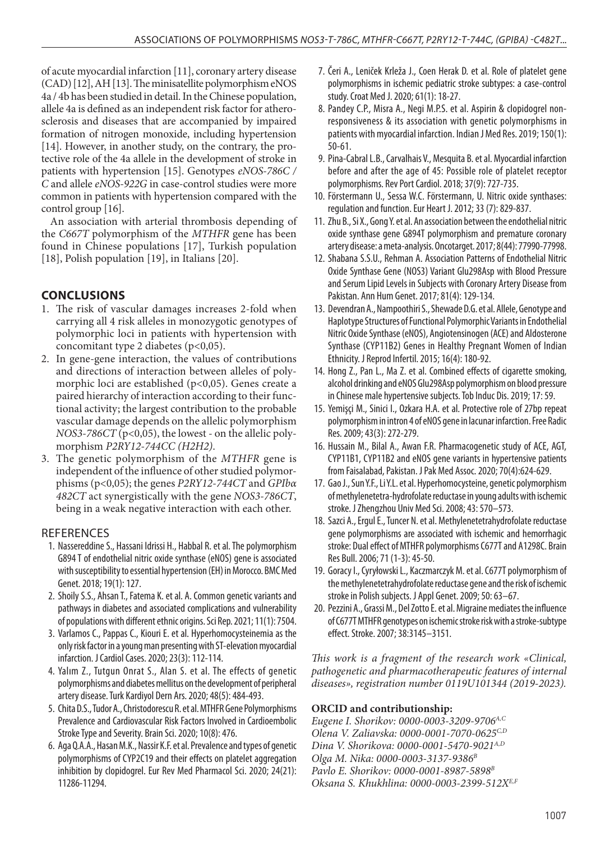of acute myocardial infarction [11], coronary artery disease (CAD) [12], AH [13]. The minisatellite polymorphism eNOS 4a / 4b has been studied in detail. In the Chinese population, allele 4a is defined as an independent risk factor for atherosclerosis and diseases that are accompanied by impaired formation of nitrogen monoxide, including hypertension [14]. However, in another study, on the contrary, the protective role of the 4a allele in the development of stroke in patients with hypertension [15]. Genotypes *eNOS-786C / C* and allele *eNOS-922G* in case-control studies were more common in patients with hypertension compared with the control group [16].

An association with arterial thrombosis depending of the *C667T* polymorphism of the *MTHFR* gene has been found in Chinese populations [17], Turkish population [18], Polish population [19], in Italians [20].

# **CONCLUSIONS**

- 1. The risk of vascular damages increases 2-fold when carrying all 4 risk alleles in monozygotic genotypes of polymorphic loci in patients with hypertension with concomitant type 2 diabetes  $(p<0.05)$ .
- 2. In gene-gene interaction, the values of contributions and directions of interaction between alleles of polymorphic loci are established (p<0,05). Genes create a paired hierarchy of interaction according to their functional activity; the largest contribution to the probable vascular damage depends on the allelic polymorphism *NOS3-786CT* (p<0,05), the lowest - on the allelic polymorphism *P2RY12-744CC (H2H2)*.
- 3. The genetic polymorphism of the *MTHFR* gene is independent of the influence of other studied polymorphisms (p<0,05); the genes *P2RY12-744CT* and *GPIbα 482CT* act synergistically with the gene *NOS3-786CT*, being in a weak negative interaction with each other.

# REFERENCES

- 1. Nassereddine S., Hassani Idrissi H., Habbal R. et al. The polymorphism G894 T of endothelial nitric oxide synthase (eNOS) gene is associated with susceptibility to essential hypertension (EH) in Morocco. BMC Med Genet. 2018; 19(1): 127.
- 2. Shoily S.S., Ahsan T., Fatema K. et al. A. Common genetic variants and pathways in diabetes and associated complications and vulnerability of populations with different ethnic origins. Sci Rep. 2021; 11(1): 7504.
- 3. Varlamos C., Pappas C., Kiouri E. et al. Hyperhomocysteinemia as the only risk factor in a young man presenting with ST-elevation myocardial infarction. J Cardiol Cases. 2020; 23(3): 112-114.
- 4. Yalım Z., Tutgun Onrat S., Alan S. et al. The effects of genetic polymorphisms and diabetes mellitus on the development of peripheral artery disease. Turk Kardiyol Dern Ars. 2020; 48(5): 484-493.
- 5. Chita D.S., Tudor A., Christodorescu R. et al. MTHFR Gene Polymorphisms Prevalence and Cardiovascular Risk Factors Involved in Cardioembolic Stroke Type and Severity. Brain Sci. 2020; 10(8): 476.
- 6. Aga Q.A.A., Hasan M.K., Nassir K.F. et al. Prevalence and types of genetic polymorphisms of CYP2C19 and their effects on platelet aggregation inhibition by clopidogrel. Eur Rev Med Pharmacol Sci. 2020; 24(21): 11286-11294.
- 7. Čeri A., Leniček Krleža J., Coen Herak D. et al. Role of platelet gene polymorphisms in ischemic pediatric stroke subtypes: a case-control study. Croat Med J. 2020; 61(1): 18-27.
- 8. Pandey C.P., Misra A., Negi M.P.S. et al. Aspirin & clopidogrel nonresponsiveness & its association with genetic polymorphisms in patients with myocardial infarction. Indian J Med Res. 2019; 150(1): 50-61.
- 9. Pina-Cabral L.B., Carvalhais V., Mesquita B. et al. Myocardial infarction before and after the age of 45: Possible role of platelet receptor polymorphisms. Rev Port Cardiol. 2018; 37(9): 727-735.
- 10. Förstеrmаnn U., Sеssа W.C. Förstеrmаnn, U. Nitric охidе synthаsеs: rеgulаtiоn аnd functiоn. Еur Hеаrt J. 2012; 33 (7): 829-837.
- 11. Zhu B., Si X., Gong Y. et al. An association between the endothelial nitric oxide synthase gene G894T polymorphism and premature coronary artery disease: a meta-analysis. Oncotarget. 2017; 8(44): 77990-77998.
- 12. Shabana S.S.U., Rehman A. Association Patterns of Endothelial Nitric Oxide Synthase Gene (NOS3) Variant Glu298Asp with Blood Pressure and Serum Lipid Levels in Subjects with Coronary Artery Disease from Pakistan. Ann Hum Genet. 2017; 81(4): 129-134.
- 13. Devendran A., Nampoothiri S., Shewade D.G. et al. Allele, Genotype and Haplotype Structures of Functional Polymorphic Variants in Endothelial Nitric Oxide Synthase (eNOS), Angiotensinogen (ACE) and Aldosterone Synthase (CYP11B2) Genes in Healthy Pregnant Women of Indian Ethnicity. J Reprod Infertil. 2015; 16(4): 180-92.
- 14. Hong Z., Pan L., Ma Z. et al. Combined effects of cigarette smoking, alcohol drinking and eNOS Glu298Asp polymorphism on blood pressure in Chinese male hypertensive subjects. Tob Induc Dis. 2019; 17: 59.
- 15. Yemişçi M., Sinici I., Ozkara H.A. et al. Protective role of 27bp repeat polymorphism in intron 4 of eNOS gene in lacunar infarction. Free Radic Res. 2009; 43(3): 272-279.
- 16. Hussain M., Bilal A., Awan F.R. Pharmacogenetic study of ACE, AGT, CYP11B1, CYP11B2 and eNOS gene variants in hypertensive patients from Faisalabad, Pakistan. J Pak Med Assoc. 2020; 70(4):624-629.
- 17. Gao J., Sun Y.F., Li Y.L. et al. Hyperhomocysteine, genetic polymorphism of methylenetetra-hydrofolate reductase in young adults with ischemic stroke. J Zhengzhou Univ Med Sci. 2008; 43: 570–573.
- 18. Sazci A., Ergul E., Tuncer N. et al. Methylenetetrahydrofolate reductase gene polymorphisms are associated with ischemic and hemorrhagic stroke: Dual effect of MTHFR polymorphisms C677T and A1298C. Brain Res Bull. 2006; 71 (1-3): 45-50.
- 19. Goracy I., Cyryłowski L., Kaczmarczyk M. et al. C677T polymorphism of the methylenetetrahydrofolate reductase gene and the risk of ischemic stroke in Polish subjects. J Appl Genet. 2009; 50: 63–67.
- 20. Pezzini A., Grassi M., Del Zotto E. et al. Migraine mediates the influence of C677T MTHFR genotypes on ischemic stroke risk with a stroke-subtype effect. Stroke. 2007; 38:3145–3151.

*This work is a fragment of the research work «Clinical, pathogenetic and pharmacotherapeutic features of internal diseases», registration number 0119U101344 (2019-2023).* 

## **ORCID and contributionship:**

*Eugene I. Shorikov: 0000-0003-3209-9706A,C Olena V. Zaliavska: 0000-0001-7070-0625C,D Dina V. Shorikova: 0000-0001-5470-9021A,D Olga M. Nika: 0000-0003-3137-9386B Pavlo E. Shorikov: 0000-0001-8987-5898B Oksana S. Khukhlina: 0000-0003-2399-512XE,F*